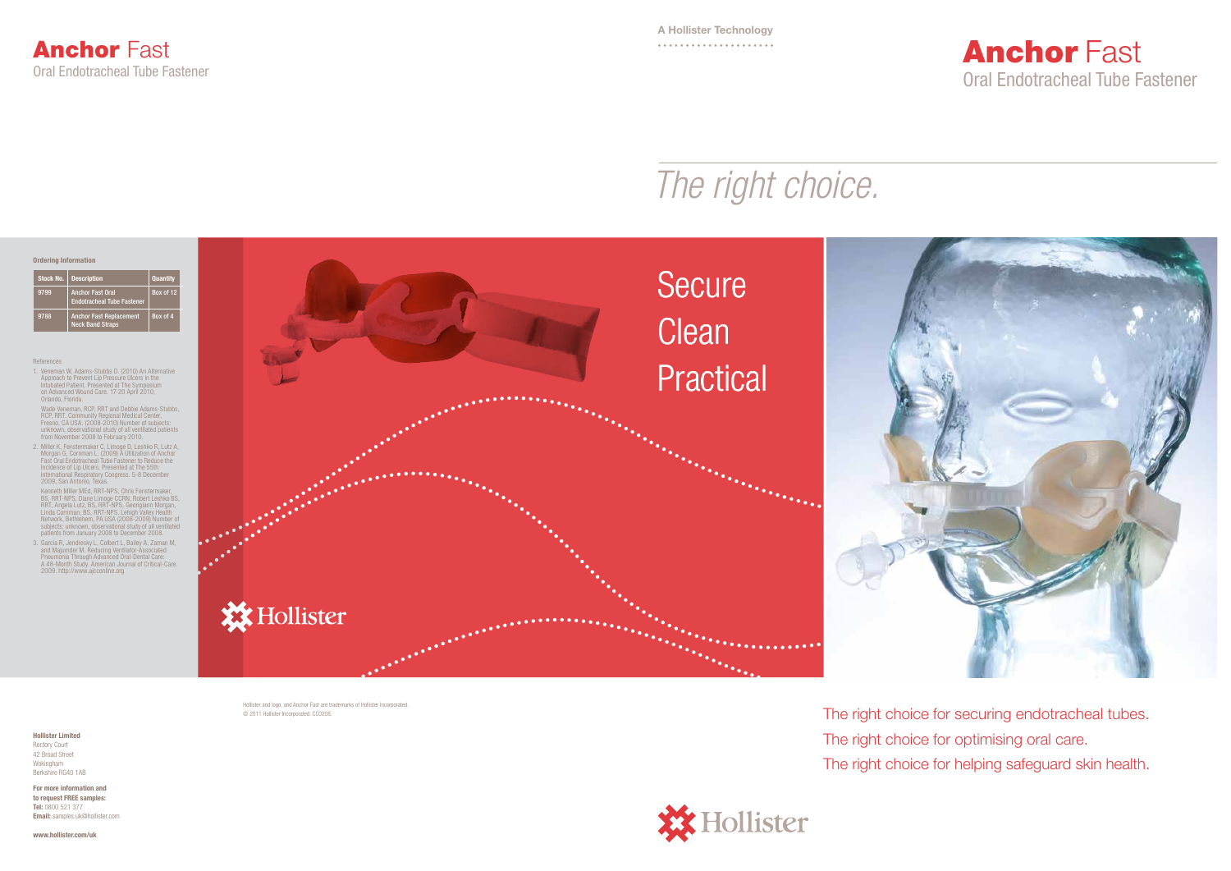

#### References

1. Veneman W, Adams-Stubbs D. (2010) An Alternative Approach to Prevent Lip Pressure Ulcers in the Intubated Patient. Presented at The Symposium on Advanced Wound Care. 17-20 April 2010, Orlando, Florida.

Wade Veneman, RCP, RRT and Debbie Adams-Stubbs,<br>RCP, RRT. Community Regional Medical Center,<br>Fresno, CA USA. (2008-2010) Number of subjects:<br>unknown, observational study of all ventilated patients<br>from November 2008 to Feb

2. Miller K, Fenstermaker C, Limoge D, Leshko R, Lutz A, Morgan G, Cornman L. (2009) A Utilization of Anchor<br>Fast Oral Endotracheal Tube Fastener to Reduce the<br>Incidence of Lip Ulcers. Presented at The 55th<br>International R

Kenneth Miller MEd, RRT-NPS, Chris Fenstermaker,<br>BS, RRT-NPS, Diane Limoge CCRN, Robert Leshko BS,<br>RRT, Angela Lutz, BS, RRT-NPS, Georigiann Morgan,<br>Linda Cornman, BS, RRT-NPS. Lehigh Valley Health<br>Network, Bethlehem, PA U subjects: unknown, observational study of all ventilated patients from January 2008 to December 2008.

3. Garcia R, Jendresky L, Colbert L, Bailey A, Zaman M,<br>and Majumder M. Reducing Ventilator-Associated<br>Pneumonia Through Advanced Oral-Dental Care:<br>A 48-Month Study. American Journal of Critical-Care.<br>2009. http://www.ajcc

## **Anchor Fast** Oral Endotracheal Tube Fastener



| Stock No. | <b>Description</b>                                           | <b>Quantity</b> |
|-----------|--------------------------------------------------------------|-----------------|
| 9799      | <b>Anchor Fast Oral</b><br><b>Endotracheal Tube Fastener</b> | Box of 12       |
| 9788      | <b>Anchor Fast Replacement</b><br><b>Neck Band Straps</b>    | Box of 4        |

### Ordering Information

# *The right choice.*

Hollister and logo, and Anchor Fast are trademarks of Hollister Incorporated. © 2011 Hollister Incorporated. CC0208.

The right choice for securing endotracheal tubes. The right choice for optimising oral care. The right choice for helping safeguard skin health.



#### Hollister Limited Rectory Court 42 Broad Street Wokingham Berkshire RG40 1AB

For more information and to request FREE samples: Tel: 0800 521 377 Email: samples.uk@hollister.com

www.hollister.com/uk